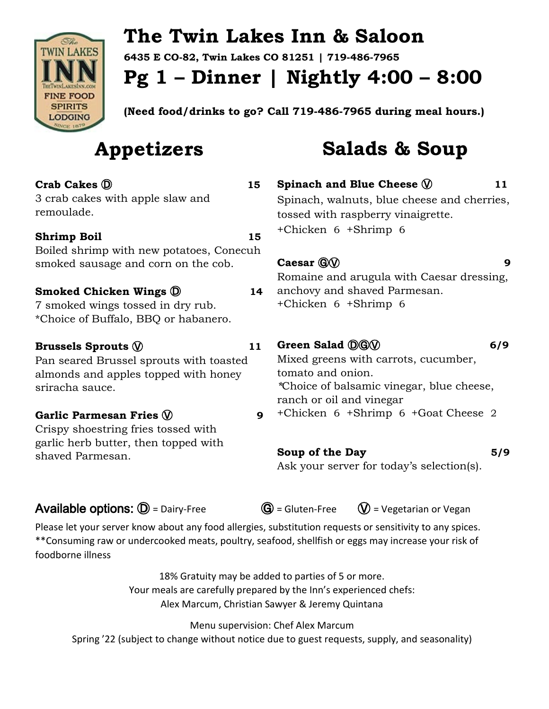

# **The Twin Lakes Inn & Saloon**

**6435 E CO-82, Twin Lakes CO 81251 | 719-486-7965**

**Pg 1 – Dinner | Nightly 4:00 – 8:00**

**(Need food/drinks to go? Call 719-486-7965 during meal hours.)**

# **Appetizers**

### **Crab Cakes** Ⓓ **15**

3 crab cakes with apple slaw and remoulade.

### **Shrimp Boil** 15

Boiled shrimp with new potatoes, Conecuh smoked sausage and corn on the cob.

### **Smoked Chicken Wings**  $\overline{O}$  **14**

7 smoked wings tossed in dry rub. \*Choice of Buffalo, BBQ or habanero.

### **Brussels Sprouts**  $\mathbb{V}$  **11**

Pan seared Brussel sprouts with toasted almonds and apples topped with honey sriracha sauce.

### **Garlic Parmesan Fries**  $\mathbb Q$  **9**

Crispy shoestring fries tossed with garlic herb butter, then topped with shaved Parmesan.

# **Salads & Soup**

**Spinach and Blue Cheese**  $\mathbb{Q}$  11 Spinach, walnuts, blue cheese and cherries, tossed with raspberry vinaigrette. +Chicken 6 +Shrimp 6

### **Caesar**  $\mathbb{G}(\mathbb{V})$  **9**

Romaine and arugula with Caesar dressing, anchovy and shaved Parmesan. +Chicken 6 +Shrimp 6

### Green Salad **DGW** 6/9

Mixed greens with carrots, cucumber, tomato and onion. *\**Choice of balsamic vinegar, blue cheese, ranch or oil and vinegar +Chicken 6 +Shrimp 6 +Goat Cheese 2

### Soup of the Day 5/9

Ask your server for today's selection(s).

### **Available options:**  $\mathbf{D}$  = Dairy-Free  $\mathbf{G}$  = Gluten-Free  $\mathbf{V}$  = Vegetarian or Vegan

Please let your server know about any food allergies, substitution requests or sensitivity to any spices. \*\*Consuming raw or undercooked meats, poultry, seafood, shellfish or eggs may increase your risk of foodborne illness

> 18% Gratuity may be added to parties of 5 or more. Your meals are carefully prepared by the Inn's experienced chefs: Alex Marcum, Christian Sawyer & Jeremy Quintana

> > Menu supervision: Chef Alex Marcum

Spring '22 (subject to change without notice due to guest requests, supply, and seasonality)